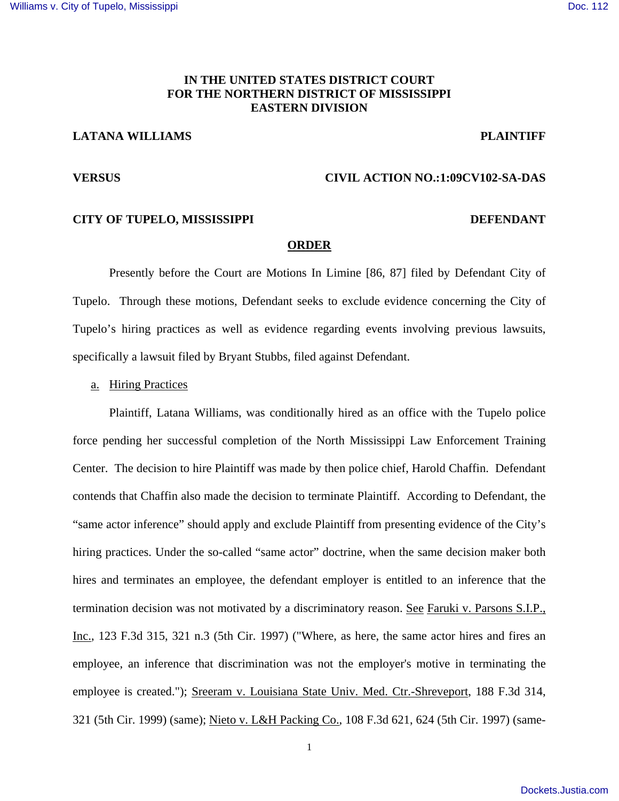#### **IN THE UNITED STATES DISTRICT COURT FOR THE NORTHERN DISTRICT OF MISSISSIPPI EASTERN DIVISION**

## **LATANA WILLIAMS** PLAINTIFF

### **VERSUS CIVIL ACTION NO.:1:09CV102-SA-DAS**

### **CITY OF TUPELO, MISSISSIPPI DEFENDANT**

# **ORDER**

 Presently before the Court are Motions In Limine [86, 87] filed by Defendant City of Tupelo. Through these motions, Defendant seeks to exclude evidence concerning the City of Tupelo's hiring practices as well as evidence regarding events involving previous lawsuits, specifically a lawsuit filed by Bryant Stubbs, filed against Defendant.

a. Hiring Practices

Plaintiff, Latana Williams, was conditionally hired as an office with the Tupelo police force pending her successful completion of the North Mississippi Law Enforcement Training Center. The decision to hire Plaintiff was made by then police chief, Harold Chaffin. Defendant contends that Chaffin also made the decision to terminate Plaintiff. According to Defendant, the "same actor inference" should apply and exclude Plaintiff from presenting evidence of the City's hiring practices. Under the so-called "same actor" doctrine, when the same decision maker both hires and terminates an employee, the defendant employer is entitled to an inference that the termination decision was not motivated by a discriminatory reason. See Faruki v. Parsons S.I.P., Inc., 123 F.3d 315, 321 n.3 (5th Cir. 1997) ("Where, as here, the same actor hires and fires an employee, an inference that discrimination was not the employer's motive in terminating the employee is created."); Sreeram v. Louisiana State Univ. Med. Ctr.-Shreveport, 188 F.3d 314, 321 (5th Cir. 1999) (same); Nieto v. L&H Packing Co., 108 F.3d 621, 624 (5th Cir. 1997) (same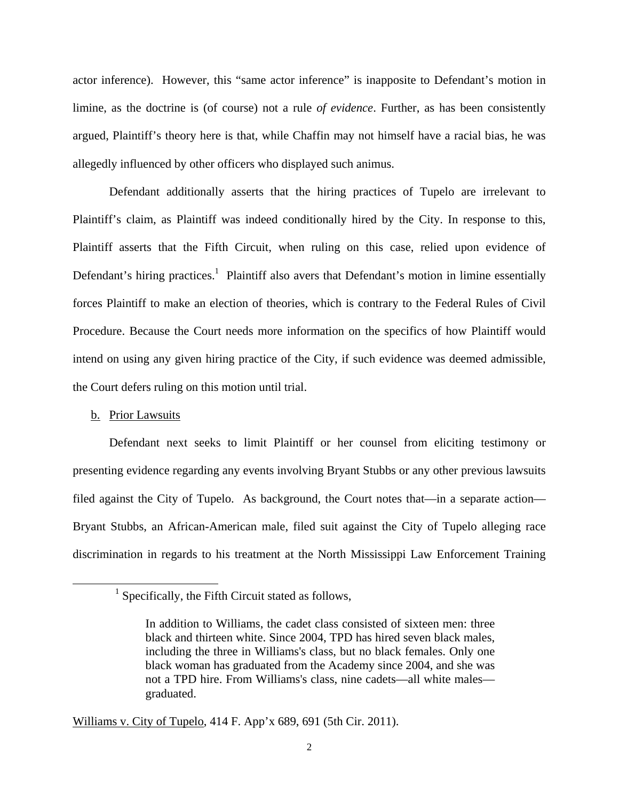actor inference). However, this "same actor inference" is inapposite to Defendant's motion in limine, as the doctrine is (of course) not a rule *of evidence*. Further, as has been consistently argued, Plaintiff's theory here is that, while Chaffin may not himself have a racial bias, he was allegedly influenced by other officers who displayed such animus.

Defendant additionally asserts that the hiring practices of Tupelo are irrelevant to Plaintiff's claim, as Plaintiff was indeed conditionally hired by the City. In response to this, Plaintiff asserts that the Fifth Circuit, when ruling on this case, relied upon evidence of Defendant's hiring practices.<sup>1</sup> Plaintiff also avers that Defendant's motion in limine essentially forces Plaintiff to make an election of theories, which is contrary to the Federal Rules of Civil Procedure. Because the Court needs more information on the specifics of how Plaintiff would intend on using any given hiring practice of the City, if such evidence was deemed admissible, the Court defers ruling on this motion until trial.

#### b. Prior Lawsuits

1

Defendant next seeks to limit Plaintiff or her counsel from eliciting testimony or presenting evidence regarding any events involving Bryant Stubbs or any other previous lawsuits filed against the City of Tupelo. As background, the Court notes that—in a separate action— Bryant Stubbs, an African-American male, filed suit against the City of Tupelo alleging race discrimination in regards to his treatment at the North Mississippi Law Enforcement Training

Williams v. City of Tupelo, 414 F. App'x 689, 691 (5th Cir. 2011).

<sup>&</sup>lt;sup>1</sup> Specifically, the Fifth Circuit stated as follows,

In addition to Williams, the cadet class consisted of sixteen men: three black and thirteen white. Since 2004, TPD has hired seven black males, including the three in Williams's class, but no black females. Only one black woman has graduated from the Academy since 2004, and she was not a TPD hire. From Williams's class, nine cadets—all white males graduated.